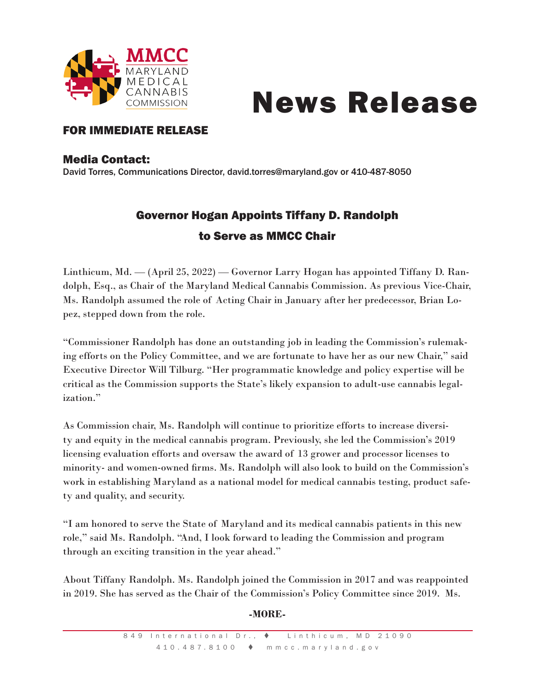

# News Release

### FOR IMMEDIATE RELEASE

#### Media Contact:

David Torres, Communications Director, david.torres@maryland.gov or 410-487-8050

## Governor Hogan Appoints Tiffany D. Randolph to Serve as MMCC Chair

Linthicum, Md. — (April 25, 2022) — Governor Larry Hogan has appointed Tiffany D. Randolph, Esq., as Chair of the Maryland Medical Cannabis Commission. As previous Vice-Chair, Ms. Randolph assumed the role of Acting Chair in January after her predecessor, Brian Lopez, stepped down from the role.

"Commissioner Randolph has done an outstanding job in leading the Commission's rulemaking efforts on the Policy Committee, and we are fortunate to have her as our new Chair," said Executive Director Will Tilburg. "Her programmatic knowledge and policy expertise will be critical as the Commission supports the State's likely expansion to adult-use cannabis legalization."

As Commission chair, Ms. Randolph will continue to prioritize efforts to increase diversity and equity in the medical cannabis program. Previously, she led the Commission's 2019 licensing evaluation efforts and oversaw the award of 13 grower and processor licenses to minority- and women-owned firms. Ms. Randolph will also look to build on the Commission's work in establishing Maryland as a national model for medical cannabis testing, product safety and quality, and security.

"I am honored to serve the State of Maryland and its medical cannabis patients in this new role," said Ms. Randolph. "And, I look forward to leading the Commission and program through an exciting transition in the year ahead."

About Tiffany Randolph. Ms. Randolph joined the Commission in 2017 and was reappointed in 2019. She has served as the Chair of the Commission's Policy Committee since 2019. Ms.

#### **-MORE-**